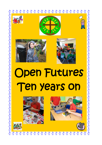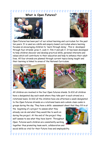$\frac{8}{10}$ 

**What is Open Futures?** 





Open Futures has been part of our school learning and curriculum for the past ten years. It is used as a skills and enquiry based curriculum where learning focuses on encouraging children to 'learn through doing'. This is developed through four strands: grow it, cook it, film it and ask it. It has been developed to help children discover and develop practical skills, personal interests and values which will contribute to their education and help to enhance their adult lives. All four strands are planned through current topics being taught and their learning is linked to areas of the National Curriculum.





All children are involved in the four Open futures stands. In KS1 all children have a designated day each week where they take part in each strand on a rotational basis. In KS2 all the children have one afternoon a week designated to the Open futures strands on a rotational basis and a whole class cooks in groups during the day. They have a skills assessment sheet that they fill in at

the beginning of a project to assess what they already can do and what they would like to work on during the project. At the end of the project they self-assess to see what they have learnt. Throughout Open Futures work children are consistently working together thus promoting team work, collaboration and social skills so vital for their Future lives and employability.



 $\frac{1}{2}$  $\frac{8}{10}$ n  $\frac{8}{10}$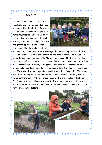## $\frac{8}{10}$ **Grow it!**

On our school grounds we have a vegetable and fruit garden, designed and planted by the children. In KS1, children are responsible for planting, watering, weeding and feeding. They really enjoy the opportunity to work in the garden and are delighted to see the growth of a fruit or vegetable from seeds they have planted. Fruit



and vegetables are used in taste testing and in our cooking lessons. Children learn about seasonal fruit and vegetables and crop rotation. The planning is linked to science objectives in the National Curriculum. Children in K.S.1 learn to name and identify a variety of common plants, about a plants structure, how plants grow and their needs, the different habitats plants grow in. In KS2, children plan and develop garden projects using skills they learnt in key stage one. They have developed a pond area and Science learning garden. The school plays a role in helping the children to recycle resources effectively using a water butt and compost bins. Through Grow It the children learn National Curriculum objectives through science topics such as plants, soils, life cycles and ecosystems. Parents and members of the local community come in and help with our gardening lessons.

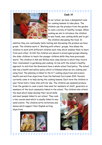

## Cook it!

In our school, we have a designated room for cooking lessons to take place. The children use the produce from the garden to cook a variety of healthy recipes. When cooking we aim to introduce the children to new foods, new cooking skills and to get the children discussing the food. In

addition they are continually taste testing and discussing the produce we have grown. The children work in 'Working with others' groups, this allows the children to work with different children each time which enables them to learn from each other. In KS1 the children are placed in mixed aged groups allowing the older children to teach the younger children skills they have previously learnt. The children in Ash and Willow have class diaries in which they record their involvement in gardening and cooking. In line with the school's healthy approach to nutrition the Governors have a whole school food policy. The school also has a health and safety policy which is followed when we are cooking and using food. The planning is linked to the D.T cooking objectives and science health and nutrition objectives from the National Curriculum 2014. Parents currently come in to help during the cooking lessons. Each term the children in year three hold a 'Come dine with me' day. The children use seasonal produce from the garden to cook a lunch time meal for members of staff, governors or members of the local community linked to the school. The children also attend

the meal which helps develop their social skills and meet people linked to our school. They cook a two-course meal which is usually linked to seasonal events. The children write invitations and menus which support their English writing objectives.



 $\frac{8}{10}$ 

ชื

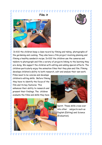



 In KS1 the children keep a class record by filming and taking photographs of the gardening and cooking. They also have a film project involving planning and filming a healthy sandwich recipe. In KS2 the children use the cameras and tablets to photograph and film a variety of projects linking to the learning they are doing. We support the children with editing and adding special effects. The children particularly enjoy the animation films that they plan and film. Filming develops children's ability to both research, edit and analyse their own work.

Films need to be concise and develops children's editing skills. Before filming they have to identify the focus of the film and its key features. This enhances their ability to research and present their findings. The children evaluate the films and skills they have





learnt. These skills cross over into other subjects such as English (Editing) and Science (Evaluation).

 $\frac{8}{10}$  $\frac{1}{2}$  $\frac{1}{2}$  $\frac{1}{2}$  $\frac{d}{d}$  $\frac{8}{10}$  $\frac{8}{10}$  $\frac{8}{10}$ **of it is a fill**  $\frac{8}{10}$  $\frac{1}{2}$ m  $\frac{8}{10}$ ๚